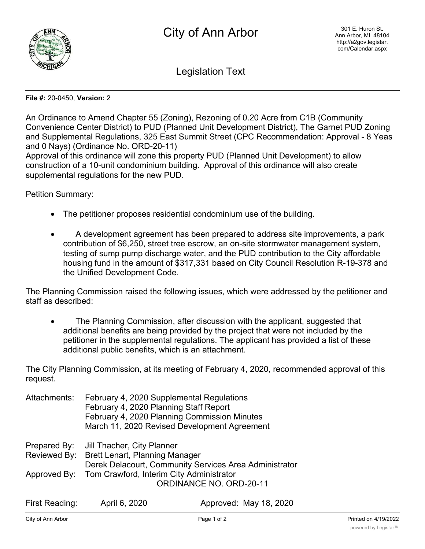

Legislation Text

## **File #:** 20-0450, **Version:** 2

An Ordinance to Amend Chapter 55 (Zoning), Rezoning of 0.20 Acre from C1B (Community Convenience Center District) to PUD (Planned Unit Development District), The Garnet PUD Zoning and Supplemental Regulations, 325 East Summit Street (CPC Recommendation: Approval - 8 Yeas and 0 Nays) (Ordinance No. ORD-20-11)

Approval of this ordinance will zone this property PUD (Planned Unit Development) to allow construction of a 10-unit condominium building. Approval of this ordinance will also create supplemental regulations for the new PUD.

Petition Summary:

- The petitioner proposes residential condominium use of the building.
- · A development agreement has been prepared to address site improvements, a park contribution of \$6,250, street tree escrow, an on-site stormwater management system, testing of sump pump discharge water, and the PUD contribution to the City affordable housing fund in the amount of \$317,331 based on City Council Resolution R-19-378 and the Unified Development Code.

The Planning Commission raised the following issues, which were addressed by the petitioner and staff as described:

The Planning Commission, after discussion with the applicant, suggested that additional benefits are being provided by the project that were not included by the petitioner in the supplemental regulations. The applicant has provided a list of these additional public benefits, which is an attachment.

The City Planning Commission, at its meeting of February 4, 2020, recommended approval of this request.

| Attachments:      | February 4, 2020 Supplemental Regulations<br>February 4, 2020 Planning Staff Report | February 4, 2020 Planning Commission Minutes<br>March 11, 2020 Revised Development Agreement |  |
|-------------------|-------------------------------------------------------------------------------------|----------------------------------------------------------------------------------------------|--|
| Prepared By:      | Jill Thacher, City Planner                                                          |                                                                                              |  |
| Reviewed By:      | <b>Brett Lenart, Planning Manager</b>                                               |                                                                                              |  |
|                   | Derek Delacourt, Community Services Area Administrator                              |                                                                                              |  |
| Approved By:      | Tom Crawford, Interim City Administrator                                            |                                                                                              |  |
|                   | <b>ORDINANCE NO. ORD-20-11</b>                                                      |                                                                                              |  |
| First Deedisector | $\lambda = 100$ $\Omega$                                                            | $A = 2$                                                                                      |  |

| First Reading: | April 6, 2020 | Approved: May 18, 2020 |
|----------------|---------------|------------------------|
|                |               |                        |